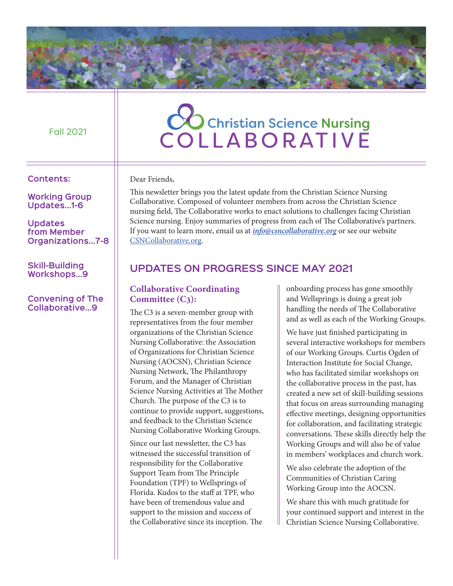#### Fall 2021

#### **Contents:**

**Working Group Updates...1-6**

#### **Updates from Member Organizations...7-8**

**Skill-Building Workshops...9**

#### **Convening of The Collaborative...9**

# CO Christian Science Nursing **COLLABORATIVE**

Dear Friends,

This newsletter brings you the latest update from the Christian Science Nursing Collaborative. Composed of volunteer members from across the Christian Science nursing field, The Collaborative works to enact solutions to challenges facing Christian Science nursing. Enjoy summaries of progress from each of The Collaborative's partners. If you want to learn more, email us at *info@csncollaborative.org* or see our website CSNCollaborative.org.

# **Updates on Progress Since May 2021**

## **Collaborative Coordinating Committee (C3):**

The C3 is a seven-member group with representatives from the four member organizations of the Christian Science Nursing Collaborative: the Association of Organizations for Christian Science Nursing (AOCSN), Christian Science Nursing Network, The Philanthropy Forum, and the Manager of Christian Science Nursing Activities at The Mother Church. The purpose of the C3 is to continue to provide support, suggestions, and feedback to the Christian Science Nursing Collaborative Working Groups.

Since our last newsletter, the C3 has witnessed the successful transition of responsibility for the Collaborative Support Team from The Principle Foundation (TPF) to Wellsprings of Florida. Kudos to the staff at TPF, who have been of tremendous value and support to the mission and success of the Collaborative since its inception. The onboarding process has gone smoothly and Wellsprings is doing a great job handling the needs of The Collaborative and as well as each of the Working Groups.

We have just finished participating in several interactive workshops for members of our Working Groups. Curtis Ogden of Interaction Institute for Social Change, who has facilitated similar workshops on the collaborative process in the past, has created a new set of skill-building sessions that focus on areas surrounding managing effective meetings, designing opportunities for collaboration, and facilitating strategic conversations. These skills directly help the Working Groups and will also be of value in members' workplaces and church work.

We also celebrate the adoption of the Communities of Christian Caring Working Group into the AOCSN.

We share this with much gratitude for your continued support and interest in the Christian Science Nursing Collaborative.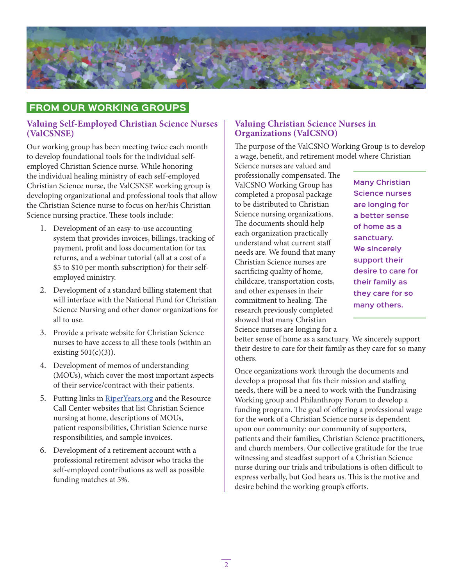

# **From Our Working Groups**

#### **Valuing Self-Employed Christian Science Nurses (ValCSNSE)**

Our working group has been meeting twice each month to develop foundational tools for the individual selfemployed Christian Science nurse. While honoring the individual healing ministry of each self-employed Christian Science nurse, the ValCSNSE working group is developing organizational and professional tools that allow the Christian Science nurse to focus on her/his Christian Science nursing practice. These tools include:

- 1. Development of an easy-to-use accounting system that provides invoices, billings, tracking of payment, profit and loss documentation for tax returns, and a webinar tutorial (all at a cost of a \$5 to \$10 per month subscription) for their selfemployed ministry.
- 2. Development of a standard billing statement that will interface with the National Fund for Christian Science Nursing and other donor organizations for all to use.
- 3. Provide a private website for Christian Science nurses to have access to all these tools (within an existing  $501(c)(3)$ ).
- 4. Development of memos of understanding (MOUs), which cover the most important aspects of their service/contract with their patients.
- 5. Putting links in RiperYears.org and the Resource Call Center websites that list Christian Science nursing at home, descriptions of MOUs, patient responsibilities, Christian Science nurse responsibilities, and sample invoices.
- 6. Development of a retirement account with a professional retirement advisor who tracks the self-employed contributions as well as possible funding matches at 5%.

#### **Valuing Christian Science Nurses in Organizations (ValCSNO)**

The purpose of the ValCSNO Working Group is to develop a wage, benefit, and retirement model where Christian

Science nurses are valued and professionally compensated. The ValCSNO Working Group has completed a proposal package to be distributed to Christian Science nursing organizations. The documents should help each organization practically understand what current staff needs are. We found that many Christian Science nurses are sacrificing quality of home, childcare, transportation costs, and other expenses in their commitment to healing. The research previously completed showed that many Christian Science nurses are longing for a

**Many Christian Science nurses are longing for a better sense of home as a sanctuary. We sincerely support their desire to care for their family as they care for so many others.**

better sense of home as a sanctuary. We sincerely support their desire to care for their family as they care for so many others.

Once organizations work through the documents and develop a proposal that fits their mission and staffing needs, there will be a need to work with the Fundraising Working group and Philanthropy Forum to develop a funding program. The goal of offering a professional wage for the work of a Christian Science nurse is dependent upon our community: our community of supporters, patients and their families, Christian Science practitioners, and church members. Our collective gratitude for the true witnessing and steadfast support of a Christian Science nurse during our trials and tribulations is often difficult to express verbally, but God hears us. This is the motive and desire behind the working group's efforts.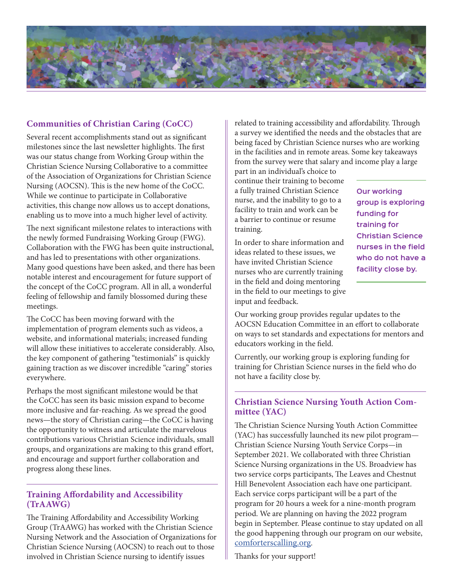

# **Communities of Christian Caring (CoCC)**

Several recent accomplishments stand out as significant milestones since the last newsletter highlights. The first was our status change from Working Group within the Christian Science Nursing Collaborative to a committee of the Association of Organizations for Christian Science Nursing (AOCSN). This is the new home of the CoCC. While we continue to participate in Collaborative activities, this change now allows us to accept donations, enabling us to move into a much higher level of activity.

The next significant milestone relates to interactions with the newly formed Fundraising Working Group (FWG). Collaboration with the FWG has been quite instructional, and has led to presentations with other organizations. Many good questions have been asked, and there has been notable interest and encouragement for future support of the concept of the CoCC program. All in all, a wonderful feeling of fellowship and family blossomed during these meetings.

The CoCC has been moving forward with the implementation of program elements such as videos, a website, and informational materials; increased funding will allow these initiatives to accelerate considerably. Also, the key component of gathering "testimonials" is quickly gaining traction as we discover incredible "caring" stories everywhere.

Perhaps the most significant milestone would be that the CoCC has seen its basic mission expand to become more inclusive and far-reaching. As we spread the good news—the story of Christian caring—the CoCC is having the opportunity to witness and articulate the marvelous contributions various Christian Science individuals, small groups, and organizations are making to this grand effort, and encourage and support further collaboration and progress along these lines.

#### **Training Affordability and Accessibility (TrAAWG)**

The Training Affordability and Accessibility Working Group (TrAAWG) has worked with the Christian Science Nursing Network and the Association of Organizations for Christian Science Nursing (AOCSN) to reach out to those involved in Christian Science nursing to identify issues

related to training accessibility and affordability. Through a survey we identified the needs and the obstacles that are being faced by Christian Science nurses who are working in the facilities and in remote areas. Some key takeaways from the survey were that salary and income play a large

part in an individual's choice to continue their training to become a fully trained Christian Science nurse, and the inability to go to a facility to train and work can be a barrier to continue or resume training.

In order to share information and ideas related to these issues, we have invited Christian Science nurses who are currently training in the field and doing mentoring in the field to our meetings to give input and feedback.

**Our working group is exploring funding for training for Christian Science nurses in the field who do not have a facility close by.**

Our working group provides regular updates to the AOCSN Education Committee in an effort to collaborate on ways to set standards and expectations for mentors and educators working in the field.

Currently, our working group is exploring funding for training for Christian Science nurses in the field who do not have a facility close by.

## **Christian Science Nursing Youth Action Committee (YAC)**

The Christian Science Nursing Youth Action Committee (YAC) has successfully launched its new pilot program— Christian Science Nursing Youth Service Corps—in September 2021. We collaborated with three Christian Science Nursing organizations in the US. Broadview has two service corps participants, The Leaves and Chestnut Hill Benevolent Association each have one participant. Each service corps participant will be a part of the program for 20 hours a week for a nine-month program period. We are planning on having the 2022 program begin in September. Please continue to stay updated on all the good happening through our program on our website, comforterscalling.org.

Thanks for your support!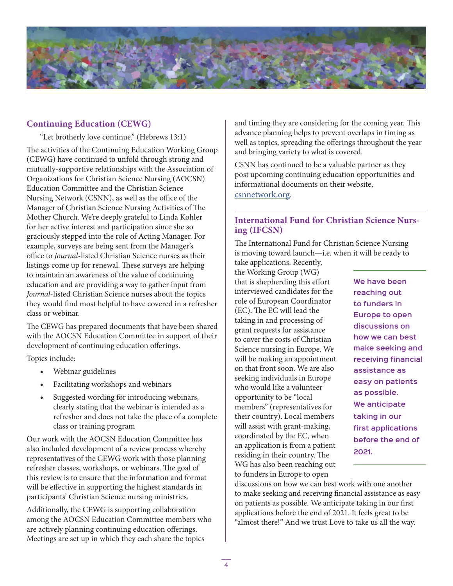

# **Continuing Education (CEWG)**

"Let brotherly love continue." (Hebrews 13:1)

The activities of the Continuing Education Working Group (CEWG) have continued to unfold through strong and mutually-supportive relationships with the Association of Organizations for Christian Science Nursing (AOCSN) Education Committee and the Christian Science Nursing Network (CSNN), as well as the office of the Manager of Christian Science Nursing Activities of The Mother Church. We're deeply grateful to Linda Kohler for her active interest and participation since she so graciously stepped into the role of Acting Manager. For example, surveys are being sent from the Manager's office to *Journal*-listed Christian Science nurses as their listings come up for renewal. These surveys are helping to maintain an awareness of the value of continuing education and are providing a way to gather input from *Journal*-listed Christian Science nurses about the topics they would find most helpful to have covered in a refresher class or webinar.

The CEWG has prepared documents that have been shared with the AOCSN Education Committee in support of their development of continuing education offerings.

Topics include:

- Webinar guidelines
- Facilitating workshops and webinars
- Suggested wording for introducing webinars, clearly stating that the webinar is intended as a refresher and does not take the place of a complete class or training program

Our work with the AOCSN Education Committee has also included development of a review process whereby representatives of the CEWG work with those planning refresher classes, workshops, or webinars. The goal of this review is to ensure that the information and format will be effective in supporting the highest standards in participants' Christian Science nursing ministries.

Additionally, the CEWG is supporting collaboration among the AOCSN Education Committee members who are actively planning continuing education offerings. Meetings are set up in which they each share the topics

and timing they are considering for the coming year. This advance planning helps to prevent overlaps in timing as well as topics, spreading the offerings throughout the year and bringing variety to what is covered.

CSNN has continued to be a valuable partner as they post upcoming continuing education opportunities and informational documents on their website, csnnetwork.org.

### **International Fund for Christian Science Nursing (IFCSN)**

The International Fund for Christian Science Nursing is moving toward launch—i.e. when it will be ready to

take applications. Recently, the Working Group (WG) that is shepherding this effort interviewed candidates for the role of European Coordinator (EC). The EC will lead the taking in and processing of grant requests for assistance to cover the costs of Christian Science nursing in Europe. We will be making an appointment on that front soon. We are also seeking individuals in Europe who would like a volunteer opportunity to be "local members" (representatives for their country). Local members will assist with grant-making, coordinated by the EC, when an application is from a patient residing in their country. The WG has also been reaching out to funders in Europe to open

**We have been reaching out to funders in Europe to open discussions on how we can best make seeking and receiving financial assistance as easy on patients as possible. We anticipate taking in our first applications before the end of 2021.**

discussions on how we can best work with one another to make seeking and receiving financial assistance as easy on patients as possible. We anticipate taking in our first applications before the end of 2021. It feels great to be "almost there!" And we trust Love to take us all the way.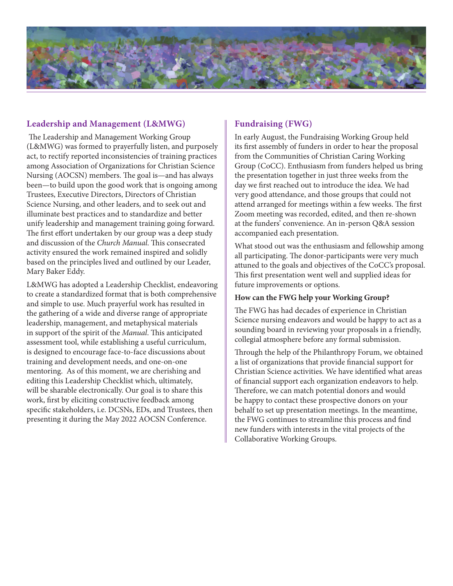

# **Leadership and Management (L&MWG)**

The Leadership and Management Working Group (L&MWG) was formed to prayerfully listen, and purposely act, to rectify reported inconsistencies of training practices among Association of Organizations for Christian Science Nursing (AOCSN) members. The goal is—and has always been—to build upon the good work that is ongoing among Trustees, Executive Directors, Directors of Christian Science Nursing, and other leaders, and to seek out and illuminate best practices and to standardize and better unify leadership and management training going forward. The first effort undertaken by our group was a deep study and discussion of the *Church Manual*. This consecrated activity ensured the work remained inspired and solidly based on the principles lived and outlined by our Leader, Mary Baker Eddy.

L&MWG has adopted a Leadership Checklist, endeavoring to create a standardized format that is both comprehensive and simple to use. Much prayerful work has resulted in the gathering of a wide and diverse range of appropriate leadership, management, and metaphysical materials in support of the spirit of the *Manual*. This anticipated assessment tool, while establishing a useful curriculum, is designed to encourage face-to-face discussions about training and development needs, and one-on-one mentoring. As of this moment, we are cherishing and editing this Leadership Checklist which, ultimately, will be sharable electronically. Our goal is to share this work, first by eliciting constructive feedback among specific stakeholders, i.e. DCSNs, EDs, and Trustees, then presenting it during the May 2022 AOCSN Conference.

# **Fundraising (FWG)**

In early August, the Fundraising Working Group held its first assembly of funders in order to hear the proposal from the Communities of Christian Caring Working Group (CoCC). Enthusiasm from funders helped us bring the presentation together in just three weeks from the day we first reached out to introduce the idea. We had very good attendance, and those groups that could not attend arranged for meetings within a few weeks. The first Zoom meeting was recorded, edited, and then re-shown at the funders' convenience. An in-person Q&A session accompanied each presentation.

What stood out was the enthusiasm and fellowship among all participating. The donor-participants were very much attuned to the goals and objectives of the CoCC's proposal. This first presentation went well and supplied ideas for future improvements or options.

#### **How can the FWG help your Working Group?**

The FWG has had decades of experience in Christian Science nursing endeavors and would be happy to act as a sounding board in reviewing your proposals in a friendly, collegial atmosphere before any formal submission.

Through the help of the Philanthropy Forum, we obtained a list of organizations that provide financial support for Christian Science activities. We have identified what areas of financial support each organization endeavors to help. Therefore, we can match potential donors and would be happy to contact these prospective donors on your behalf to set up presentation meetings. In the meantime, the FWG continues to streamline this process and find new funders with interests in the vital projects of the Collaborative Working Groups.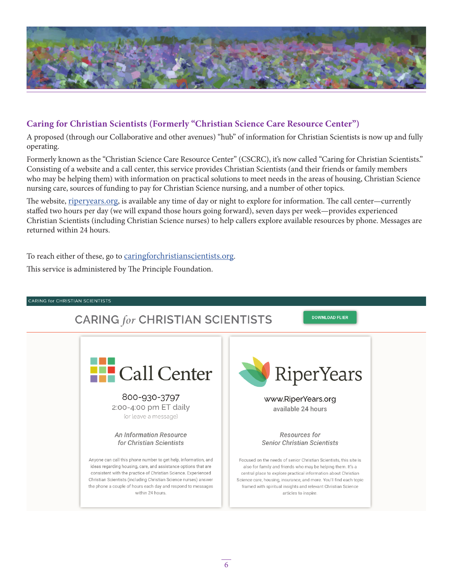

# **Caring for Christian Scientists (Formerly "Christian Science Care Resource Center")**

A proposed (through our Collaborative and other avenues) "hub" of information for Christian Scientists is now up and fully operating.

Formerly known as the "Christian Science Care Resource Center" (CSCRC), it's now called "Caring for Christian Scientists." Consisting of a website and a call center, this service provides Christian Scientists (and their friends or family members who may be helping them) with information on practical solutions to meet needs in the areas of housing, Christian Science nursing care, sources of funding to pay for Christian Science nursing, and a number of other topics.

The website, riperyears.org, is available any time of day or night to explore for information. The call center—currently staffed two hours per day (we will expand those hours going forward), seven days per week—provides experienced Christian Scientists (including Christian Science nurses) to help callers explore available resources by phone. Messages are returned within 24 hours.

To reach either of these, go to caringforchristianscientists.org.

This service is administered by The Principle Foundation.

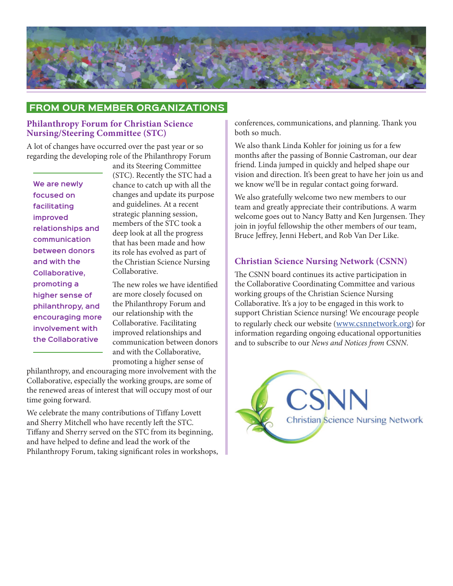

# **From Our Member Organizations**

#### **Philanthropy Forum for Christian Science Nursing/Steering Committee (STC)**

A lot of changes have occurred over the past year or so regarding the developing role of the Philanthropy Forum

**We are newly focused on facilitating improved relationships and communication between donors and with the Collaborative, promoting a higher sense of philanthropy, and encouraging more involvement with the Collaborative** 

and its Steering Committee (STC). Recently the STC had a chance to catch up with all the changes and update its purpose and guidelines. At a recent strategic planning session, members of the STC took a deep look at all the progress that has been made and how its role has evolved as part of the Christian Science Nursing Collaborative.

The new roles we have identified are more closely focused on the Philanthropy Forum and our relationship with the Collaborative. Facilitating improved relationships and communication between donors and with the Collaborative, promoting a higher sense of

philanthropy, and encouraging more involvement with the Collaborative, especially the working groups, are some of the renewed areas of interest that will occupy most of our time going forward.

We celebrate the many contributions of Tiffany Lovett and Sherry Mitchell who have recently left the STC. Tiffany and Sherry served on the STC from its beginning, and have helped to define and lead the work of the Philanthropy Forum, taking significant roles in workshops, conferences, communications, and planning. Thank you both so much.

We also thank Linda Kohler for joining us for a few months after the passing of Bonnie Castroman, our dear friend. Linda jumped in quickly and helped shape our vision and direction. It's been great to have her join us and we know we'll be in regular contact going forward.

We also gratefully welcome two new members to our team and greatly appreciate their contributions. A warm welcome goes out to Nancy Batty and Ken Jurgensen. They join in joyful fellowship the other members of our team, Bruce Jeffrey, Jenni Hebert, and Rob Van Der Like.

#### **Christian Science Nursing Network (CSNN)**

The CSNN board continues its active participation in the Collaborative Coordinating Committee and various working groups of the Christian Science Nursing Collaborative. It's a joy to be engaged in this work to support Christian Science nursing! We encourage people to regularly check our website (www.csnnetwork.org) for information regarding ongoing educational opportunities and to subscribe to our *News and Notices from CSNN*.

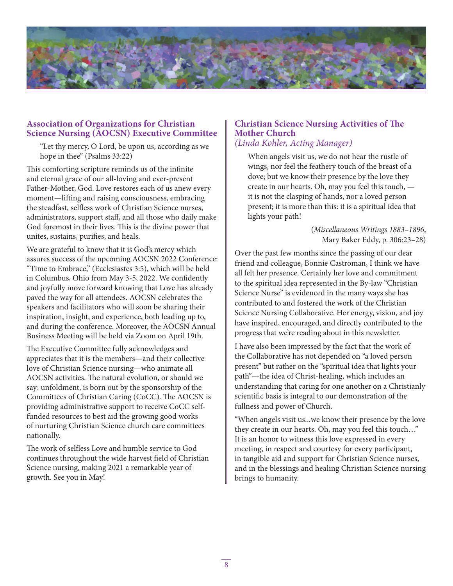

#### **Association of Organizations for Christian Science Nursing (AOCSN) Executive Committee**

"Let thy mercy, O Lord, be upon us, according as we hope in thee" (Psalms 33:22)

This comforting scripture reminds us of the infinite and eternal grace of our all-loving and ever-present Father-Mother, God. Love restores each of us anew every moment—lifting and raising consciousness, embracing the steadfast, selfless work of Christian Science nurses, administrators, support staff, and all those who daily make God foremost in their lives. This is the divine power that unites, sustains, purifies, and heals.

We are grateful to know that it is God's mercy which assures success of the upcoming AOCSN 2022 Conference: "Time to Embrace," (Ecclesiastes 3:5), which will be held in Columbus, Ohio from May 3-5, 2022. We confidently and joyfully move forward knowing that Love has already paved the way for all attendees. AOCSN celebrates the speakers and facilitators who will soon be sharing their inspiration, insight, and experience, both leading up to, and during the conference. Moreover, the AOCSN Annual Business Meeting will be held via Zoom on April 19th.

The Executive Committee fully acknowledges and appreciates that it is the members—and their collective love of Christian Science nursing—who animate all AOCSN activities. The natural evolution, or should we say: unfoldment, is born out by the sponsorship of the Committees of Christian Caring (CoCC). The AOCSN is providing administrative support to receive CoCC selffunded resources to best aid the growing good works of nurturing Christian Science church care committees nationally.

The work of selfless Love and humble service to God continues throughout the wide harvest field of Christian Science nursing, making 2021 a remarkable year of growth. See you in May!

# **Christian Science Nursing Activities of The Mother Church**

# *(Linda Kohler, Acting Manager)*

When angels visit us, we do not hear the rustle of wings, nor feel the feathery touch of the breast of a dove; but we know their presence by the love they create in our hearts. Oh, may you feel this touch, it is not the clasping of hands, nor a loved person present; it is more than this: it is a spiritual idea that lights your path!

> (*Miscellaneous Writings 1883–1896*, Mary Baker Eddy, p. 306:23–28)

Over the past few months since the passing of our dear friend and colleague, Bonnie Castroman, I think we have all felt her presence. Certainly her love and commitment to the spiritual idea represented in the By-law "Christian Science Nurse" is evidenced in the many ways she has contributed to and fostered the work of the Christian Science Nursing Collaborative. Her energy, vision, and joy have inspired, encouraged, and directly contributed to the progress that we're reading about in this newsletter.

I have also been impressed by the fact that the work of the Collaborative has not depended on "a loved person present" but rather on the "spiritual idea that lights your path"—the idea of Christ-healing, which includes an understanding that caring for one another on a Christianly scientific basis is integral to our demonstration of the fullness and power of Church.

"When angels visit us...we know their presence by the love they create in our hearts. Oh, may you feel this touch…" It is an honor to witness this love expressed in every meeting, in respect and courtesy for every participant, in tangible aid and support for Christian Science nurses, and in the blessings and healing Christian Science nursing brings to humanity.